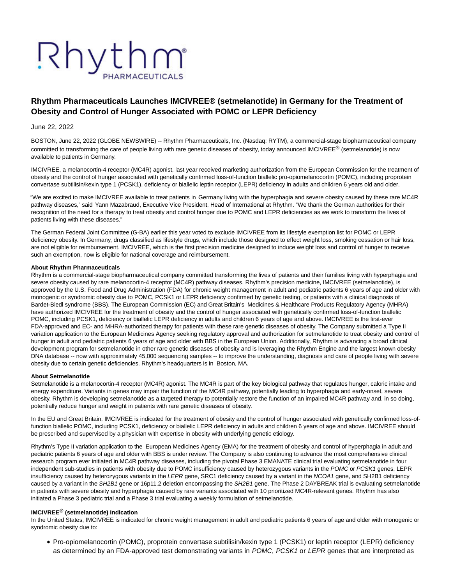# Rhythm

# **Rhythm Pharmaceuticals Launches IMCIVREE® (setmelanotide) in Germany for the Treatment of Obesity and Control of Hunger Associated with POMC or LEPR Deficiency**

### June 22, 2022

BOSTON, June 22, 2022 (GLOBE NEWSWIRE) -- Rhythm Pharmaceuticals, Inc. (Nasdaq: RYTM), a commercial-stage biopharmaceutical company committed to transforming the care of people living with rare genetic diseases of obesity, today announced IMCIVREE<sup>®</sup> (setmelanotide) is now available to patients in Germany.

IMCIVREE, a melanocortin-4 receptor (MC4R) agonist, last year received marketing authorization from the European Commission for the treatment of obesity and the control of hunger associated with genetically confirmed loss-of-function biallelic pro-opiomelanocortin (POMC), including proprotein convertase subtilisin/kexin type 1 (PCSK1), deficiency or biallelic leptin receptor (LEPR) deficiency in adults and children 6 years old and older.

"We are excited to make IMCIVREE available to treat patients in Germany living with the hyperphagia and severe obesity caused by these rare MC4R pathway diseases," said Yann Mazabraud, Executive Vice President, Head of International at Rhythm. "We thank the German authorities for their recognition of the need for a therapy to treat obesity and control hunger due to POMC and LEPR deficiencies as we work to transform the lives of patients living with these diseases."

The German Federal Joint Committee (G-BA) earlier this year voted to exclude IMCIVREE from its lifestyle exemption list for POMC or LEPR deficiency obesity. In Germany, drugs classified as lifestyle drugs, which include those designed to effect weight loss, smoking cessation or hair loss, are not eligible for reimbursement. IMCIVREE, which is the first precision medicine designed to induce weight loss and control of hunger to receive such an exemption, now is eligible for national coverage and reimbursement.

### **About Rhythm Pharmaceuticals**

Rhythm is a commercial-stage biopharmaceutical company committed transforming the lives of patients and their families living with hyperphagia and severe obesity caused by rare melanocortin-4 receptor (MC4R) pathway diseases. Rhythm's precision medicine, IMCIVREE (setmelanotide), is approved by the U.S. Food and Drug Administration (FDA) for chronic weight management in adult and pediatric patients 6 years of age and older with monogenic or syndromic obesity due to POMC, PCSK1 or LEPR deficiency confirmed by genetic testing, or patients with a clinical diagnosis of Bardet-Biedl syndrome (BBS). The European Commission (EC) and Great Britain's Medicines & Healthcare Products Regulatory Agency (MHRA) have authorized IMCIVREE for the treatment of obesity and the control of hunger associated with genetically confirmed loss-of-function biallelic POMC, including PCSK1, deficiency or biallelic LEPR deficiency in adults and children 6 years of age and above. IMCIVREE is the first-ever FDA-approved and EC- and MHRA-authorized therapy for patients with these rare genetic diseases of obesity. The Company submitted a Type II variation application to the European Medicines Agency seeking regulatory approval and authorization for setmelanotide to treat obesity and control of hunger in adult and pediatric patients 6 years of age and older with BBS in the European Union. Additionally, Rhythm is advancing a broad clinical development program for setmelanotide in other rare genetic diseases of obesity and is leveraging the Rhythm Engine and the largest known obesity DNA database -- now with approximately 45,000 sequencing samples -- to improve the understanding, diagnosis and care of people living with severe obesity due to certain genetic deficiencies. Rhythm's headquarters is in Boston, MA.

### **About Setmelanotide**

Setmelanotide is a melanocortin-4 receptor (MC4R) agonist. The MC4R is part of the key biological pathway that regulates hunger, caloric intake and energy expenditure. Variants in genes may impair the function of the MC4R pathway, potentially leading to hyperphagia and early-onset, severe obesity. Rhythm is developing setmelanotide as a targeted therapy to potentially restore the function of an impaired MC4R pathway and, in so doing, potentially reduce hunger and weight in patients with rare genetic diseases of obesity.

In the EU and Great Britain, IMCIVREE is indicated for the treatment of obesity and the control of hunger associated with genetically confirmed loss-offunction biallelic POMC, including PCSK1, deficiency or biallelic LEPR deficiency in adults and children 6 years of age and above. IMCIVREE should be prescribed and supervised by a physician with expertise in obesity with underlying genetic etiology.

Rhythm's Type II variation application to the European Medicines Agency (EMA) for the treatment of obesity and control of hyperphagia in adult and pediatric patients 6 years of age and older with BBS is under review. The Company is also continuing to advance the most comprehensive clinical research program ever initiated in MC4R pathway diseases, including the pivotal Phase 3 EMANATE clinical trial evaluating setmelanotide in four independent sub-studies in patients with obesity due to POMC insufficiency caused by heterozygous variants in the POMC or PCSK1 genes, LEPR insufficiency caused by heterozygous variants in the LEPR gene, SRC1 deficiency caused by a variant in the NCOA1 gene, and SH2B1 deficiency caused by a variant in the SH2B1 gene or 16p11.2 deletion encompassing the SH2B1 gene. The Phase 2 DAYBREAK trial is evaluating setmelanotide in patients with severe obesity and hyperphagia caused by rare variants associated with 10 prioritized MC4R-relevant genes. Rhythm has also initiated a Phase 3 pediatric trial and a Phase 3 trial evaluating a weekly formulation of setmelanotide.

## **IMCIVREE® (setmelanotide) Indication**

In the United States, IMCIVREE is indicated for chronic weight management in adult and pediatric patients 6 years of age and older with monogenic or syndromic obesity due to:

Pro-opiomelanocortin (POMC), proprotein convertase subtilisin/kexin type 1 (PCSK1) or leptin receptor (LEPR) deficiency as determined by an FDA-approved test demonstrating variants in POMC, PCSK1 or LEPR genes that are interpreted as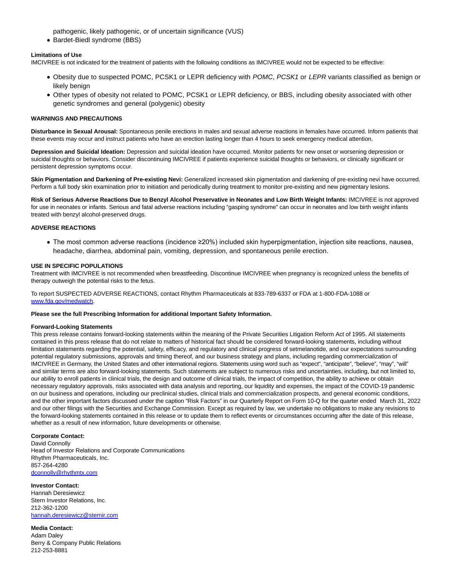pathogenic, likely pathogenic, or of uncertain significance (VUS)

• Bardet-Biedl syndrome (BBS)

### **Limitations of Use**

IMCIVREE is not indicated for the treatment of patients with the following conditions as IMCIVREE would not be expected to be effective:

- Obesity due to suspected POMC, PCSK1 or LEPR deficiency with POMC, PCSK1 or LEPR variants classified as benign or likely benign
- Other types of obesity not related to POMC, PCSK1 or LEPR deficiency, or BBS, including obesity associated with other genetic syndromes and general (polygenic) obesity

### **WARNINGS AND PRECAUTIONS**

**Disturbance in Sexual Arousal:** Spontaneous penile erections in males and sexual adverse reactions in females have occurred. Inform patients that these events may occur and instruct patients who have an erection lasting longer than 4 hours to seek emergency medical attention.

**Depression and Suicidal Ideation:** Depression and suicidal ideation have occurred. Monitor patients for new onset or worsening depression or suicidal thoughts or behaviors. Consider discontinuing IMCIVREE if patients experience suicidal thoughts or behaviors, or clinically significant or persistent depression symptoms occur.

Skin Pigmentation and Darkening of Pre-existing Nevi: Generalized increased skin pigmentation and darkening of pre-existing nevi have occurred. Perform a full body skin examination prior to initiation and periodically during treatment to monitor pre-existing and new pigmentary lesions.

**Risk of Serious Adverse Reactions Due to Benzyl Alcohol Preservative in Neonates and Low Birth Weight Infants:** IMCIVREE is not approved for use in neonates or infants. Serious and fatal adverse reactions including "gasping syndrome" can occur in neonates and low birth weight infants treated with benzyl alcohol-preserved drugs.

### **ADVERSE REACTIONS**

The most common adverse reactions (incidence ≥20%) included skin hyperpigmentation, injection site reactions, nausea, headache, diarrhea, abdominal pain, vomiting, depression, and spontaneous penile erection.

### **USE IN SPECIFIC POPULATIONS**

Treatment with IMCIVREE is not recommended when breastfeeding. Discontinue IMCIVREE when pregnancy is recognized unless the benefits of therapy outweigh the potential risks to the fetus.

To report SUSPECTED ADVERSE REACTIONS, contact Rhythm Pharmaceuticals at 833-789-6337 or FDA at 1-800-FDA-1088 or [www.fda.gov/medwatch.](https://www.globenewswire.com/Tracker?data=xHF6Y8FGNInAbrXSm974TkdL_UiyRE4BEAFK2U2p5CkkJqc9OVuoF1hp8TrNRCv34oYI6-e8phuHEjjVxza9k2b3eOVO4FR1FF8Ajmk-YUo=)

### **Please see the full Prescribing Information for additional Important Safety Information.**

### **Forward-Looking Statements**

This press release contains forward-looking statements within the meaning of the Private Securities Litigation Reform Act of 1995. All statements contained in this press release that do not relate to matters of historical fact should be considered forward-looking statements, including without limitation statements regarding the potential, safety, efficacy, and regulatory and clinical progress of setmelanotide, and our expectations surrounding potential regulatory submissions, approvals and timing thereof, and our business strategy and plans, including regarding commercialization of IMCIVREE in Germany, the United States and other international regions. Statements using word such as "expect", "anticipate", "believe", "may", "will" and similar terms are also forward-looking statements. Such statements are subject to numerous risks and uncertainties, including, but not limited to, our ability to enroll patients in clinical trials, the design and outcome of clinical trials, the impact of competition, the ability to achieve or obtain necessary regulatory approvals, risks associated with data analysis and reporting, our liquidity and expenses, the impact of the COVID-19 pandemic on our business and operations, including our preclinical studies, clinical trials and commercialization prospects, and general economic conditions, and the other important factors discussed under the caption "Risk Factors" in our Quarterly Report on Form 10-Q for the quarter ended March 31, 2022 and our other filings with the Securities and Exchange Commission. Except as required by law, we undertake no obligations to make any revisions to the forward-looking statements contained in this release or to update them to reflect events or circumstances occurring after the date of this release, whether as a result of new information, future developments or otherwise.

### **Corporate Contact:**

David Connolly Head of Investor Relations and Corporate Communications Rhythm Pharmaceuticals, Inc. 857-264-4280 [dconnolly@rhythmtx.com](https://www.globenewswire.com/Tracker?data=aIMcy6qVgO3zad88lPy4CqDy-z2k6Arnug2k8ntlS06CU9ekNQGObFccwTxDdeEYHUSZ_3Fr2bLwHEMg4_Jf3MnEChUF2r2sBg_mMyGaAI0=)

**Investor Contact:** Hannah Deresiewicz Stern Investor Relations, Inc. 212-362-1200 [hannah.deresiewicz@sternir.com](https://www.globenewswire.com/Tracker?data=JATI50uhd5O2MkDamqW3qcLJr6Vrc1YoMn9IKJAFMTJdppbuAL8G6Y3tMZuGv_Zp0x42tl0g23xtecBS_su-nx8pH18UQTmBxScGJp1pQCoFOkr9zWsHDzuMCgbLzwd_)

**Media Contact:** Adam Daley Berry & Company Public Relations 212-253-8881